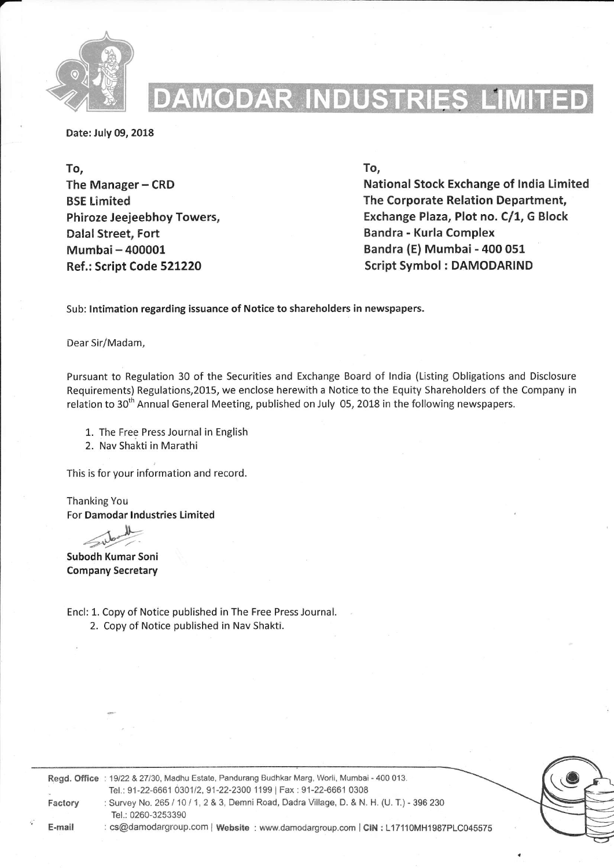

## AMODAR INI

Date: July 09, 2018

To, The Manager - CRD BSE Limited Phiroze Jeejeebhoy Towers, Dalal Street, Fort Mumbai- 400001 Ref.: Script Code 521220

To,

National Stock Exchange of lndia Limited The Corporate Relation Department, Exchange Plaza, Plot no. C/1, G Block Bandra - Kurla Complex Bandra (E) Mumbai - 400 051 Script Symbol : DAMODARIND

Sub: lntimation regarding issuance of Notice to shareholders in newspapers,

Dear Sir/Madam,

Pursuant to Regulation 30 of the Securities and Exchange Board of lndia (Listing Obligations and Disclosure Requlrements) Regulations,2015, we enclose herewith a Notice to the Equity Shareholders of the Company in relation to 30<sup>th</sup> Annual General Meeting, published on July 05, 2018 in the following newspapers.

1. The Free Press Journal in English

2. Nav Shakti in Marathi

This is for your information and record.

Thanking You For Damodar lndustries Limited

Subodh Kumar Soni Company Secretary

Encl: 1. Copy of Notice published in The Free Press Journal.

2. copy of Notice published in Nav Shakti.



Regd. Office: 19/22 & 27/30, Madhu Estate, Pandurang Budhkar Marg, Worli, Mumbai - 400 013. Tel.: 91-22-6661 0301/2, 91-22-2300 1199 | Fax: 91-22-6661 0308

Factory : Survey No. 265 / 10 / 1, 2 & 3, Demni Road, Dadra Village, D. & N. H. (U. T.) - 396 230 Tel.: 0260-3253390 : cs@damodargroup.com | Website : www.damodargroup.com | CIN : L17110MH1987PLC045575

E-mail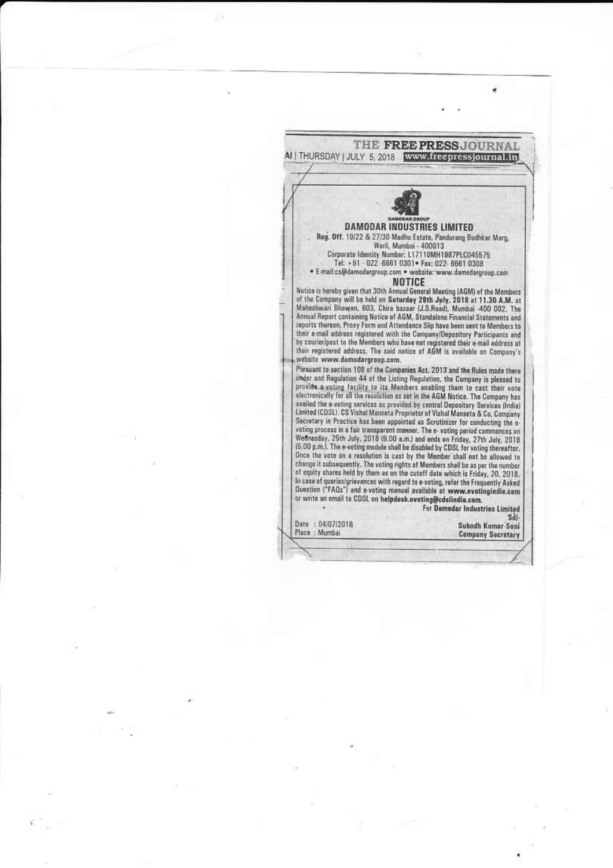